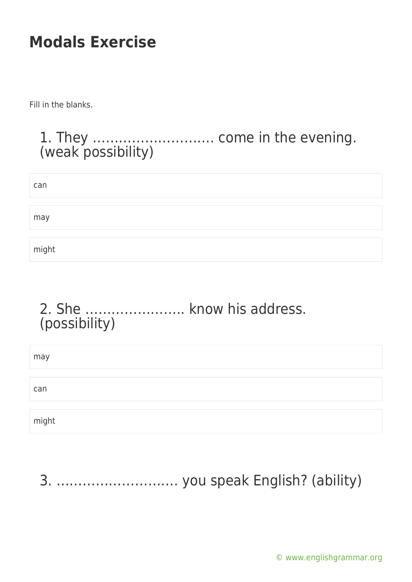Fill in the blanks.

#### 1. They ………………………. come in the evening. (weak possibility)

| can   |  |  |  |
|-------|--|--|--|
|       |  |  |  |
| may   |  |  |  |
|       |  |  |  |
| might |  |  |  |

#### 2. She ………………….. know his address. (possibility)

| may   |  |  |
|-------|--|--|
|       |  |  |
| can   |  |  |
|       |  |  |
| might |  |  |

3. ………………………. you speak English? (ability)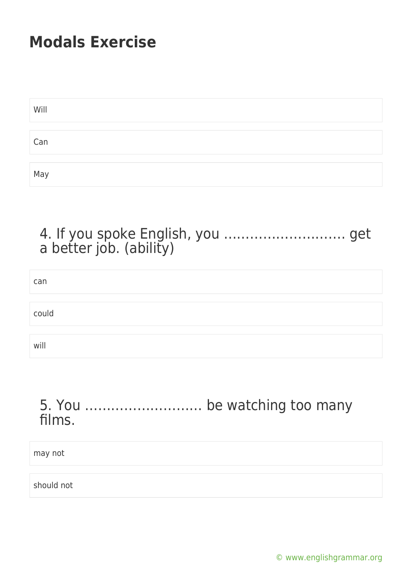| Will |  |  |  |
|------|--|--|--|
|      |  |  |  |
| Can  |  |  |  |
|      |  |  |  |
| May  |  |  |  |

#### 4. If you spoke English, you ………………………. get a better job. (ability)

| can   |  |
|-------|--|
|       |  |
| could |  |
|       |  |
| will  |  |

#### 5. You ……………………… be watching too many films.

may not

should not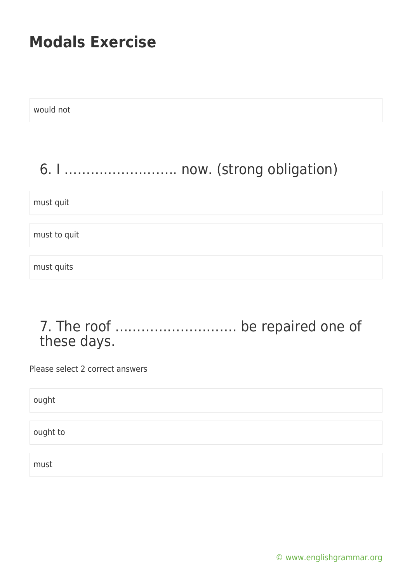| would not                      |
|--------------------------------|
|                                |
| 6. I  now. (strong obligation) |
| must quit                      |
| must to quit                   |
| must quits                     |

7. The roof ………………………. be repaired one of these days.

Please select 2 correct answers

ought

ought to

must

[© www.englishgrammar.org](https://www.englishgrammar.org/)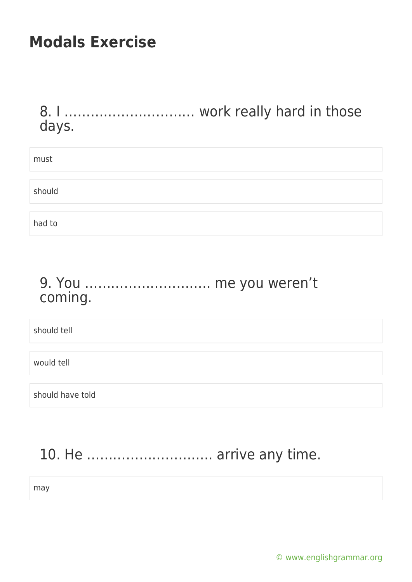#### 8. I ………………………… work really hard in those days.

| must   |  |  |  |
|--------|--|--|--|
|        |  |  |  |
| should |  |  |  |
|        |  |  |  |
| had to |  |  |  |

#### 9. You ……………………….. me you weren't coming.

should tell

would tell

should have told

### 10. He ……………………….. arrive any time.

may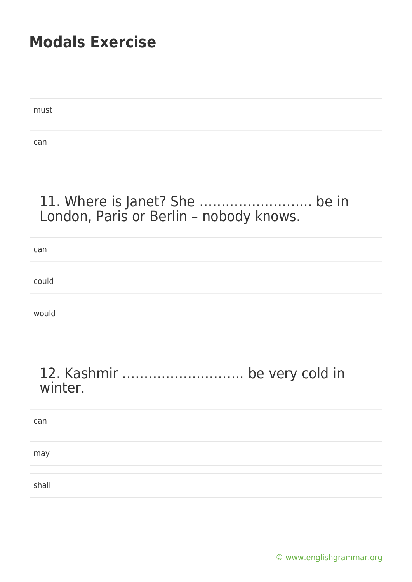must can

### 11. Where is Janet? She …………………….. be in London, Paris or Berlin – nobody knows.

| can   |  |
|-------|--|
|       |  |
| could |  |
|       |  |
| would |  |

#### 12. Kashmir ………………………. be very cold in winter.

| can   |  |  |
|-------|--|--|
|       |  |  |
| may   |  |  |
|       |  |  |
| shall |  |  |